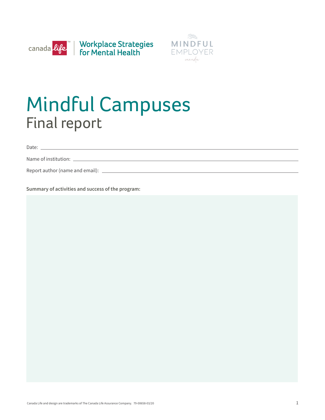



# Mindful Campuses Final report

Date:

Name of institution:

Report author (name and email):

**Summary of activities and success of the program:**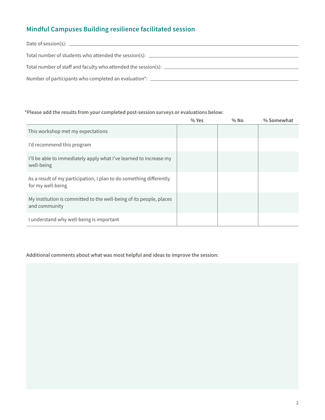# **Mindful Campuses Building resilience facilitated session**

| Date of session(s): $\frac{1}{2}$ and $\frac{1}{2}$ and $\frac{1}{2}$ and $\frac{1}{2}$ and $\frac{1}{2}$ and $\frac{1}{2}$ and $\frac{1}{2}$ and $\frac{1}{2}$ and $\frac{1}{2}$ and $\frac{1}{2}$ and $\frac{1}{2}$ and $\frac{1}{2}$ and $\frac{1}{2}$ and $\frac{1}{2}$ and $\frac{1$ |
|-------------------------------------------------------------------------------------------------------------------------------------------------------------------------------------------------------------------------------------------------------------------------------------------|
| Total number of students who attended the session(s): _______                                                                                                                                                                                                                             |
| Total number of staff and faculty who attended the session(s): _________________                                                                                                                                                                                                          |
| Number of participants who completed an evaluation*: ___________________________                                                                                                                                                                                                          |

#### **\*Please add the results from your completed post-session surveys or evaluations below:**

|                                                                                          | $%$ Yes | $%$ No | % Somewhat |
|------------------------------------------------------------------------------------------|---------|--------|------------|
| This workshop met my expectations                                                        |         |        |            |
| I'd recommend this program                                                               |         |        |            |
| I'll be able to immediately apply what I've learned to increase my<br>well-being         |         |        |            |
| As a result of my participation, I plan to do something differently<br>for my well-being |         |        |            |
| My institution is committed to the well-being of its people, places<br>and community     |         |        |            |
| I understand why well-being is important                                                 |         |        |            |

#### **Additional comments about what was most helpful and ideas to improve the session:**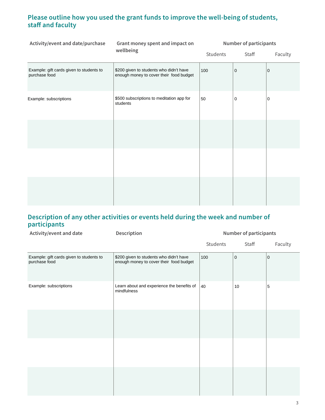### **Please outline how you used the grant funds to improve the well-being of students, staff and faculty**

| Activity/event and date/purchase                          | Grant money spent and impact on<br>wellbeing                                       | <b>Number of participants</b> |             |         |
|-----------------------------------------------------------|------------------------------------------------------------------------------------|-------------------------------|-------------|---------|
|                                                           |                                                                                    | Students                      | Staff       | Faculty |
| Example: gift cards given to students to<br>purchase food | \$200 given to students who didn't have<br>enough money to cover their food budget | 100                           | $\mathbf 0$ | 0       |
| Example: subscriptions                                    | \$500 subscriptions to meditation app for<br>students                              | 50                            | 0           | 0       |
|                                                           |                                                                                    |                               |             |         |
|                                                           |                                                                                    |                               |             |         |
|                                                           |                                                                                    |                               |             |         |

### **Description of any other activities or events held during the week and number of participants**

| Activity/event and date                                   | Description                                                                        | <b>Number of participants</b> |                |            |
|-----------------------------------------------------------|------------------------------------------------------------------------------------|-------------------------------|----------------|------------|
|                                                           |                                                                                    | Students                      | Staff          | Faculty    |
| Example: gift cards given to students to<br>purchase food | \$200 given to students who didn't have<br>enough money to cover their food budget | 100                           | $\overline{0}$ | 0          |
| Example: subscriptions                                    | Learn about and experience the benefits of<br>mindfulness                          | 40                            | 10             | $\sqrt{5}$ |
|                                                           |                                                                                    |                               |                |            |
|                                                           |                                                                                    |                               |                |            |
|                                                           |                                                                                    |                               |                |            |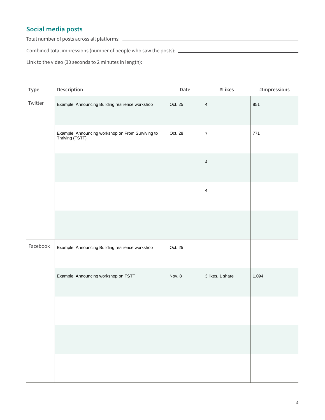## **Social media posts**

Total number of posts across all platforms:

Combined total impressions (number of people who saw the posts):

Link to the video (30 seconds to 2 minutes in length):

| Type     | Description                                                          | Date    | #Likes                  | $\#Impressions$ |
|----------|----------------------------------------------------------------------|---------|-------------------------|-----------------|
| Twitter  | Example: Announcing Building resilience workshop                     | Oct. 25 | $\overline{\mathbf{4}}$ | 851             |
|          | Example: Announcing workshop on From Surviving to<br>Thriving (FSTT) | Oct. 28 | $\boldsymbol{7}$        | 771             |
|          |                                                                      |         | $\overline{\mathbf{4}}$ |                 |
|          |                                                                      |         | $\overline{4}$          |                 |
|          |                                                                      |         |                         |                 |
| Facebook | Example: Announcing Building resilience workshop                     | Oct. 25 |                         |                 |
|          | Example: Announcing workshop on FSTT                                 | Nov. 8  | 3 likes, 1 share        | 1,094           |
|          |                                                                      |         |                         |                 |
|          |                                                                      |         |                         |                 |
|          |                                                                      |         |                         |                 |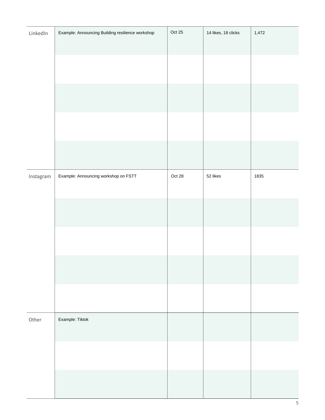| LinkedIn  | Example: Announcing Building resilience workshop | Oct 25   | 14 likes, 18 clicks | 1,472 |
|-----------|--------------------------------------------------|----------|---------------------|-------|
|           |                                                  |          |                     |       |
|           |                                                  |          |                     |       |
|           |                                                  |          |                     |       |
|           |                                                  |          |                     |       |
|           |                                                  |          |                     |       |
|           |                                                  |          |                     |       |
| Instagram | Example: Announcing workshop on FSTT             | Oct $28$ | 52 likes            | 1835  |
|           |                                                  |          |                     |       |
|           |                                                  |          |                     |       |
|           |                                                  |          |                     |       |
|           |                                                  |          |                     |       |
|           |                                                  |          |                     |       |
|           |                                                  |          |                     |       |
|           |                                                  |          |                     |       |
|           |                                                  |          |                     |       |
| Other     | Example: Tiktok                                  |          |                     |       |
|           |                                                  |          |                     |       |
|           |                                                  |          |                     |       |
|           |                                                  |          |                     |       |
|           |                                                  |          |                     |       |
|           |                                                  |          |                     |       |

Ī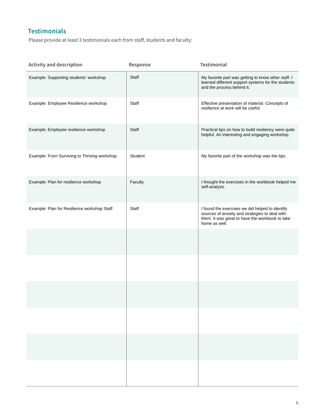## **Testimonials**

Ī

Please provide at least 3 testimonials each from staff, students and faculty:

| <b>Activity and description</b>              | Response                                          | <b>Testimonial</b>                                                                                                                                                    |
|----------------------------------------------|---------------------------------------------------|-----------------------------------------------------------------------------------------------------------------------------------------------------------------------|
| Example: Supporting students' workshop       | Staff                                             | My favorite part was getting to know other staff. I<br>learned different support systems for the students<br>and the process behind it.                               |
| Example: Employee Resilience workshop        | Staff                                             | Effective presentation of material. Concepts of<br>resilience at work will be useful.                                                                                 |
| Example: Employee resilience workshop        | Staff                                             | Practical tips on how to build resiliency were quite<br>helpful. An interesting and engaging workshop.                                                                |
| Example: From Surviving to Thriving workshop | Student                                           | My favorite part of the workshop was the tips.                                                                                                                        |
| Example: Plan for resilience workshop        | Faculty                                           | I thought the exercises in the workbook helped me<br>self-analyze.                                                                                                    |
| Example: Plan for Resilience workshop Staff  | Staff                                             | I found the exercises we did helped to identify<br>sources of anxiety and strategies to deal with<br>them. It was great to have the workbook to take<br>home as well. |
|                                              | $\vert \mathbf{v} \vert$                          |                                                                                                                                                                       |
|                                              | $\left  \mathbf{v} \right $                       |                                                                                                                                                                       |
|                                              | $\blacktriangledown$                              |                                                                                                                                                                       |
|                                              | $\vert \textbf{y} \vert$                          |                                                                                                                                                                       |
|                                              | $\vert \textcolor{red}{\mathbf{v}} \vert$         |                                                                                                                                                                       |
|                                              | $\vert \textcolor{red}{\blacktriangledown} \vert$ |                                                                                                                                                                       |